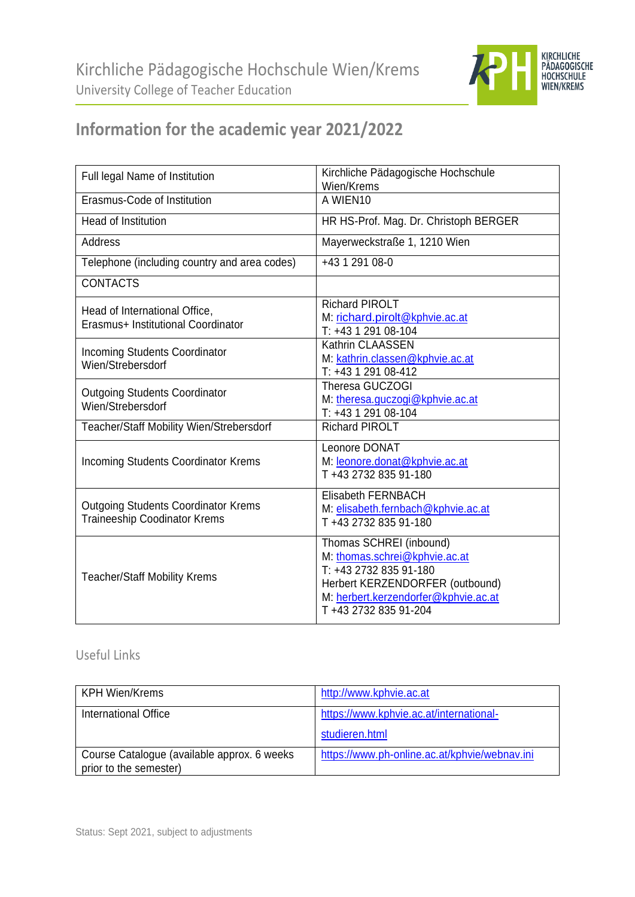

## **Information for the academic year 2021/2022**

| Full legal Name of Institution                                                    | Kirchliche Pädagogische Hochschule<br>Wien/Krems                                                                                                                                       |
|-----------------------------------------------------------------------------------|----------------------------------------------------------------------------------------------------------------------------------------------------------------------------------------|
| Erasmus-Code of Institution                                                       | A WIEN10                                                                                                                                                                               |
| Head of Institution                                                               | HR HS-Prof. Mag. Dr. Christoph BERGER                                                                                                                                                  |
| <b>Address</b>                                                                    | Mayerweckstraße 1, 1210 Wien                                                                                                                                                           |
| Telephone (including country and area codes)                                      | +43 1 291 08-0                                                                                                                                                                         |
| <b>CONTACTS</b>                                                                   |                                                                                                                                                                                        |
| Head of International Office,<br>Erasmus+ Institutional Coordinator               | <b>Richard PIROLT</b><br>M: richard.pirolt@kphvie.ac.at<br>T: +43 1 291 08-104                                                                                                         |
| <b>Incoming Students Coordinator</b><br>Wien/Strebersdorf                         | Kathrin CLAASSEN<br>M: kathrin.classen@kphvie.ac.at<br>T: +43 1 291 08-412                                                                                                             |
| <b>Outgoing Students Coordinator</b><br>Wien/Strebersdorf                         | <b>Theresa GUCZOGI</b><br>M: theresa.guczogi@kphvie.ac.at<br>T: +43 1 291 08-104                                                                                                       |
| Teacher/Staff Mobility Wien/Strebersdorf                                          | <b>Richard PIROLT</b>                                                                                                                                                                  |
| <b>Incoming Students Coordinator Krems</b>                                        | Leonore DONAT<br>M: leonore.donat@kphvie.ac.at<br>T +43 2732 835 91-180                                                                                                                |
| <b>Outgoing Students Coordinator Krems</b><br><b>Traineeship Coodinator Krems</b> | <b>Elisabeth FERNBACH</b><br>M: elisabeth.fernbach@kphvie.ac.at<br>T +43 2732 835 91-180                                                                                               |
| <b>Teacher/Staff Mobility Krems</b>                                               | Thomas SCHREI (inbound)<br>M: thomas.schrei@kphvie.ac.at<br>T: +43 2732 835 91-180<br>Herbert KERZENDORFER (outbound)<br>M: herbert.kerzendorfer@kphvie.ac.at<br>T +43 2732 835 91-204 |

## Useful Links

| <b>KPH Wien/Krems</b>                                                 | http://www.kphvie.ac.at                       |
|-----------------------------------------------------------------------|-----------------------------------------------|
| International Office                                                  | https://www.kphvie.ac.at/international-       |
|                                                                       | studieren.html                                |
| Course Catalogue (available approx. 6 weeks<br>prior to the semester) | https://www.ph-online.ac.at/kphvie/webnav.ini |